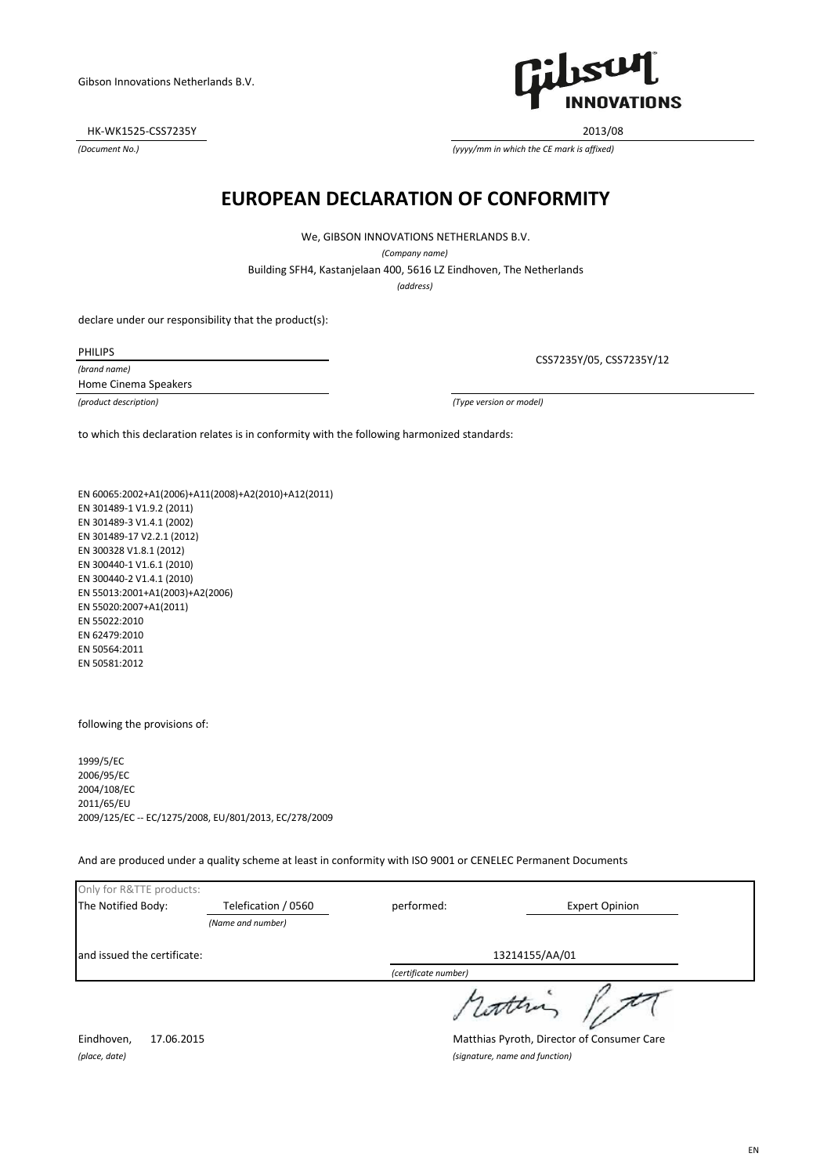HK-WK1525-CSS7235Y 2013/08

*(Document No.)*



*(yyyy/mm in which the CE mark is affixed)*

# **EUROPEAN DECLARATION OF CONFORMITY**

We, GIBSON INNOVATIONS NETHERLANDS B.V.

*(Company name)*

Building SFH4, Kastanjelaan 400, 5616 LZ Eindhoven, The Netherlands

*(address)*

declare under our responsibility that the product(s):

PHILIPS

*(brand name)* Home Cinema Speakers

CSS7235Y/05, CSS7235Y/12

*(product description) (Type version or model)*

to which this declaration relates is in conformity with the following harmonized standards:

EN 60065:2002+A1(2006)+A11(2008)+A2(2010)+A12(2011) EN 301489-1 V1.9.2 (2011) EN 301489-3 V1.4.1 (2002) EN 301489-17 V2.2.1 (2012) EN 300328 V1.8.1 (2012) EN 300440-1 V1.6.1 (2010) EN 300440-2 V1.4.1 (2010) EN 55013:2001+A1(2003)+A2(2006) EN 55020:2007+A1(2011) EN 55022:2010 EN 62479:2010 EN 50564:2011 EN 50581:2012

following the provisions of:

1999/5/EC 2006/95/EC 2004/108/EC 2011/65/EU 2009/125/EC -- EC/1275/2008, EU/801/2013, EC/278/2009

And are produced under a quality scheme at least in conformity with ISO 9001 or CENELEC Permanent Documents

| Only for R&TTE products:    |                                            |                      |                       |
|-----------------------------|--------------------------------------------|----------------------|-----------------------|
| The Notified Body:          | Telefication / 0560                        | performed:           | <b>Expert Opinion</b> |
|                             | (Name and number)                          |                      |                       |
| and issued the certificate: |                                            | 13214155/AA/01       |                       |
|                             |                                            | (certificate number) |                       |
|                             |                                            |                      |                       |
| Eindhoven,<br>17.06.2015    | Matthias Pyroth, Director of Consumer Care |                      |                       |
| (place, date)               | (signature, name and function)             |                      |                       |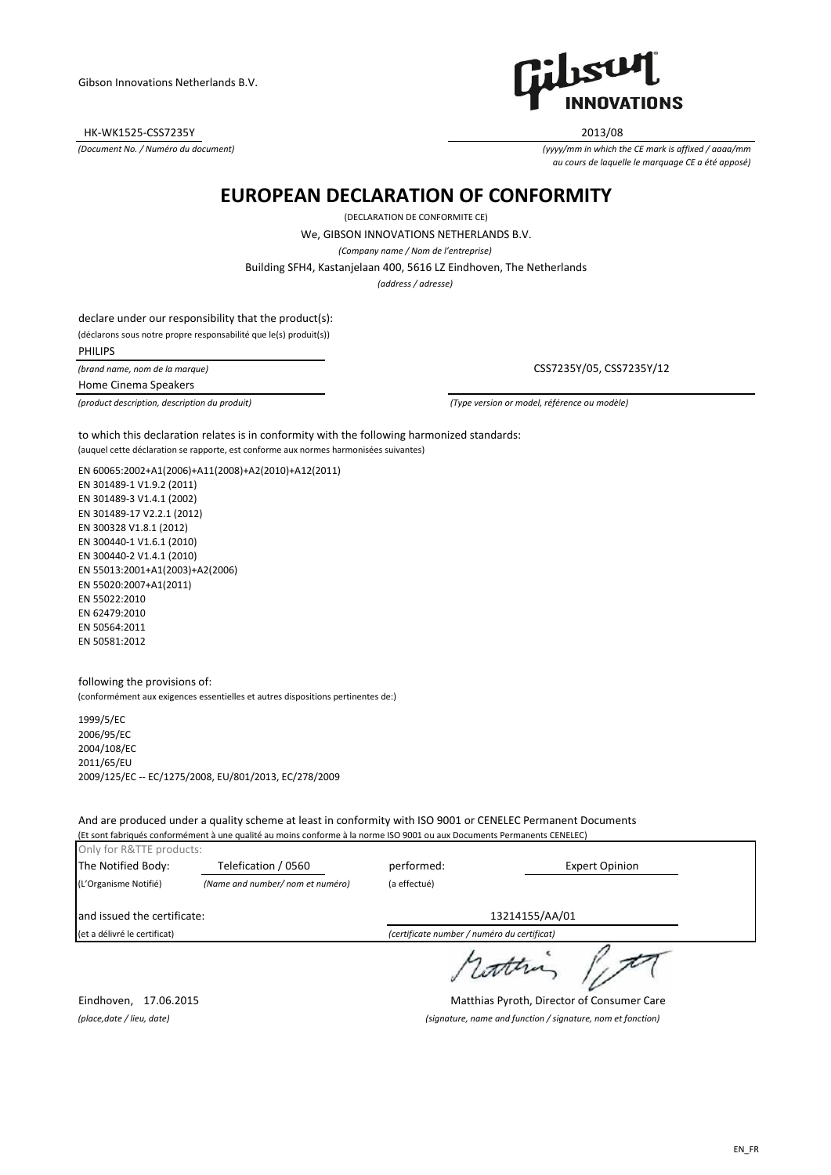HK-WK1525-CSS7235Y 2013/08

*(Document No. / Numéro du document)*



*(yyyy/mm in which the CE mark is affixed / aaaa/mm au cours de laquelle le marquage CE a été apposé)*

# **EUROPEAN DECLARATION OF CONFORMITY**

(DECLARATION DE CONFORMITE CE)

We, GIBSON INNOVATIONS NETHERLANDS B.V.

*(Company name / Nom de l'entreprise)*

Building SFH4, Kastanjelaan 400, 5616 LZ Eindhoven, The Netherlands

*(address / adresse)*

declare under our responsibility that the product(s): (déclarons sous notre propre responsabilité que le(s) produit(s))

PHILIPS

*(brand name, nom de la marque)*

Home Cinema Speakers

CSS7235Y/05, CSS7235Y/12

*(product description, description du produit) (Type version or model, référence ou modèle)*

(auquel cette déclaration se rapporte, est conforme aux normes harmonisées suivantes) to which this declaration relates is in conformity with the following harmonized standards:

EN 60065:2002+A1(2006)+A11(2008)+A2(2010)+A12(2011)

EN 301489-1 V1.9.2 (2011) EN 301489-3 V1.4.1 (2002) EN 301489-17 V2.2.1 (2012) EN 300328 V1.8.1 (2012) EN 300440-1 V1.6.1 (2010) EN 300440-2 V1.4.1 (2010) EN 55013:2001+A1(2003)+A2(2006) EN 55020:2007+A1(2011) EN 55022:2010 EN 62479:2010 EN 50564:2011 EN 50581:2012

following the provisions of: (conformément aux exigences essentielles et autres dispositions pertinentes de:)

1999/5/EC 2006/95/EC 2004/108/EC 2011/65/EU 2009/125/EC -- EC/1275/2008, EU/801/2013, EC/278/2009

And are produced under a quality scheme at least in conformity with ISO 9001 or CENELEC Permanent Documents (Et sont fabriqués conformément à une qualité au moins conforme à la norme ISO 9001 ou aux Documents Permanents CENELEC)

| Only for R&TTE products:<br>The Notified Body: | Telefication / 0560             | performed:   | <b>Expert Opinion</b>                       |
|------------------------------------------------|---------------------------------|--------------|---------------------------------------------|
| (L'Organisme Notifié)                          | (Name and number/nom et numéro) | (a effectué) |                                             |
| and issued the certificate:                    |                                 |              | 13214155/AA/01                              |
| (et a délivré le certificat)                   |                                 |              | (certificate number / numéro du certificat) |
|                                                |                                 |              |                                             |

Eindhoven, 17.06.2015 Matthias Pyroth, Director of Consumer Care *(place,date / lieu, date) (signature, name and function / signature, nom et fonction)*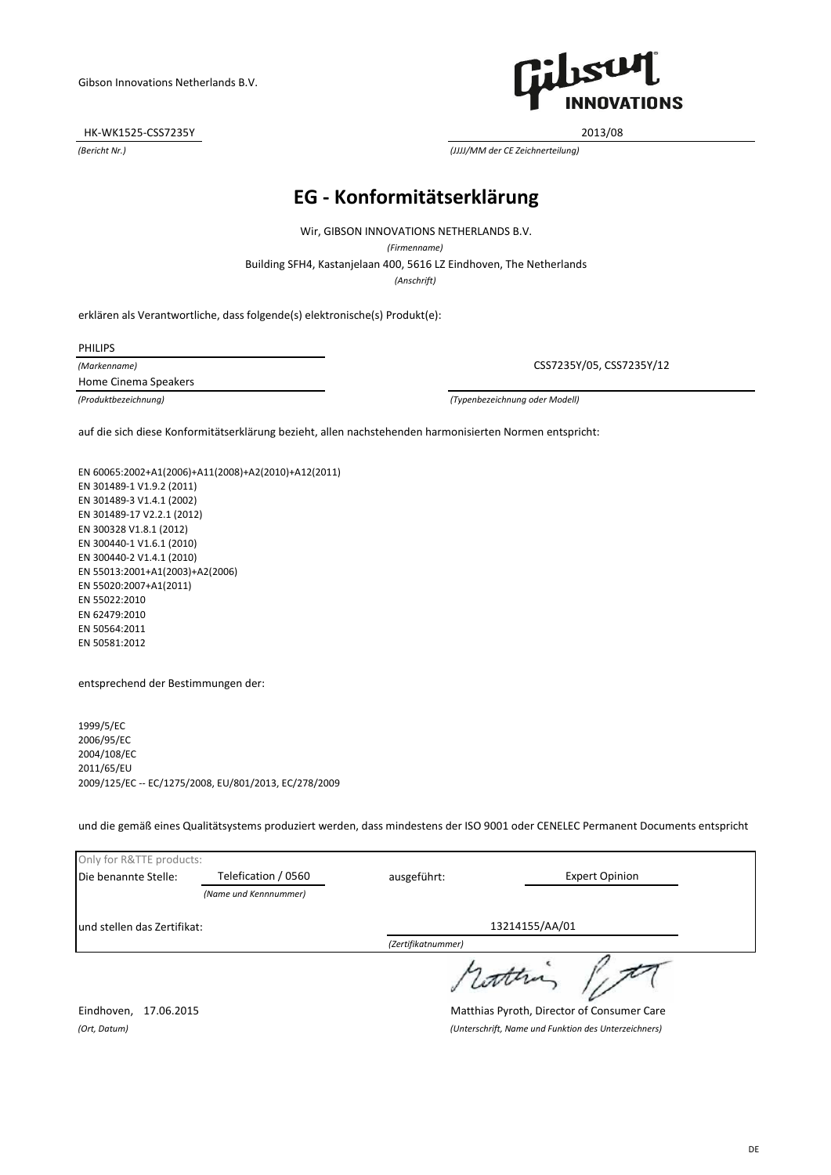HK-WK1525-CSS7235Y 2013/08



*(Bericht Nr.) (JJJJ/MM der CE Zeichnerteilung)*

# **EG - Konformitätserklärung**

Wir, GIBSON INNOVATIONS NETHERLANDS B.V.

*(Firmenname)*

Building SFH4, Kastanjelaan 400, 5616 LZ Eindhoven, The Netherlands

*(Anschrift)*

erklären als Verantwortliche, dass folgende(s) elektronische(s) Produkt(e):

PHILIPS

*(Markenname)* Home Cinema Speakers

CSS7235Y/05, CSS7235Y/12

*(Produktbezeichnung) (Typenbezeichnung oder Modell)*

auf die sich diese Konformitätserklärung bezieht, allen nachstehenden harmonisierten Normen entspricht:

EN 60065:2002+A1(2006)+A11(2008)+A2(2010)+A12(2011) EN 301489-1 V1.9.2 (2011) EN 301489-3 V1.4.1 (2002) EN 301489-17 V2.2.1 (2012) EN 300328 V1.8.1 (2012) EN 300440-1 V1.6.1 (2010) EN 300440-2 V1.4.1 (2010) EN 55013:2001+A1(2003)+A2(2006) EN 55020:2007+A1(2011) EN 55022:2010 EN 62479:2010 EN 50564:2011 EN 50581:2012

entsprechend der Bestimmungen der:

1999/5/EC 2006/95/EC 2004/108/EC 2011/65/EU 2009/125/EC -- EC/1275/2008, EU/801/2013, EC/278/2009

und die gemäß eines Qualitätsystems produziert werden, dass mindestens der ISO 9001 oder CENELEC Permanent Documents entspricht

| Only for R&TTE products:                                                                     |                     |                |                       |
|----------------------------------------------------------------------------------------------|---------------------|----------------|-----------------------|
| Die benannte Stelle:                                                                         | Telefication / 0560 | ausgeführt:    | <b>Expert Opinion</b> |
| (Name und Kennnummer)                                                                        |                     |                |                       |
| lund stellen das Zertifikat:                                                                 |                     | 13214155/AA/01 |                       |
|                                                                                              |                     |                |                       |
|                                                                                              |                     |                |                       |
| $\mathbf{a}$ . The contract of the contract of $\mathbf{a}$<br>$-1$ $-1$ $-2$ $-2$ $-2$ $-1$ |                     |                |                       |

Eindhoven, 17.06.2015 Matthias Pyroth, Director of Consumer Care *(Ort, Datum) (Unterschrift, Name und Funktion des Unterzeichners)*

DE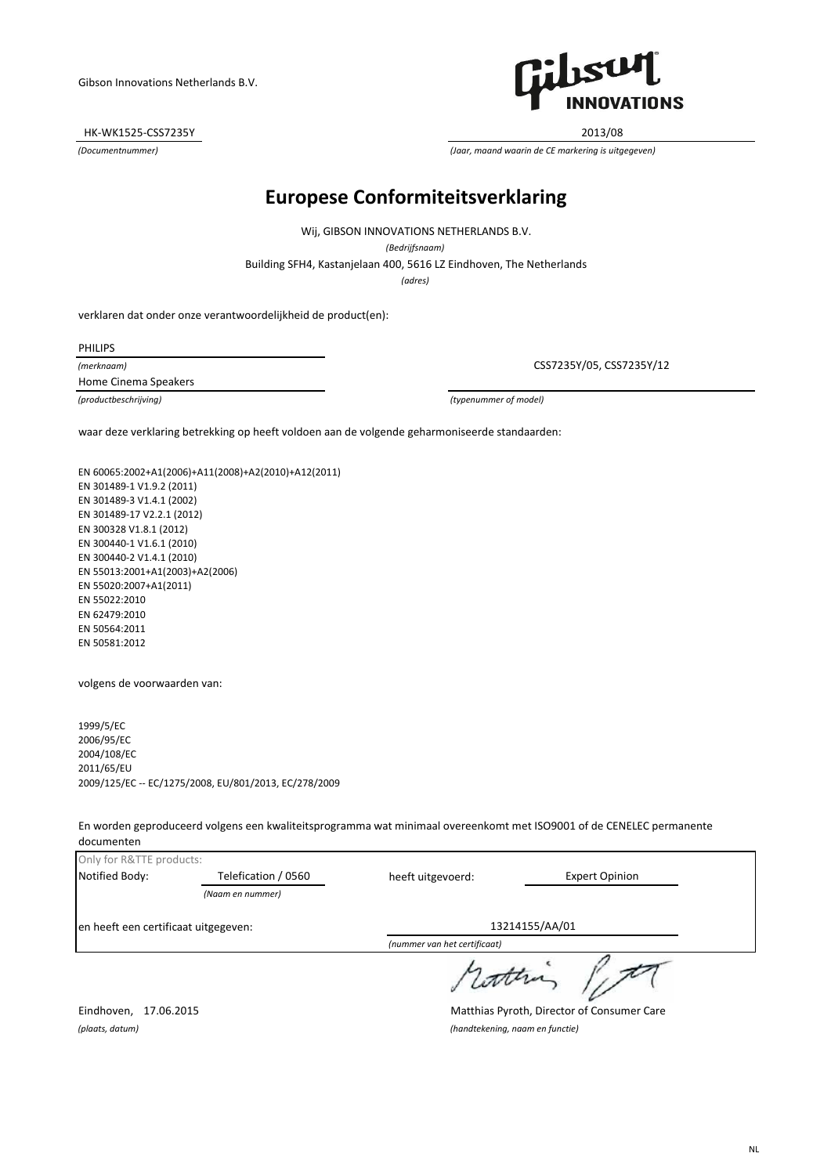HK-WK1525-CSS7235Y 2013/08



*(Documentnummer) (Jaar, maand waarin de CE markering is uitgegeven)*

# **Europese Conformiteitsverklaring**

Wij, GIBSON INNOVATIONS NETHERLANDS B.V.

*(Bedrijfsnaam)*

Building SFH4, Kastanjelaan 400, 5616 LZ Eindhoven, The Netherlands

*(adres)*

verklaren dat onder onze verantwoordelijkheid de product(en):

PHILIPS

*(merknaam)* Home Cinema Speakers

CSS7235Y/05, CSS7235Y/12

*(productbeschrijving) (typenummer of model)*

waar deze verklaring betrekking op heeft voldoen aan de volgende geharmoniseerde standaarden:

EN 60065:2002+A1(2006)+A11(2008)+A2(2010)+A12(2011) EN 301489-1 V1.9.2 (2011) EN 301489-3 V1.4.1 (2002) EN 301489-17 V2.2.1 (2012) EN 300328 V1.8.1 (2012) EN 300440-1 V1.6.1 (2010) EN 300440-2 V1.4.1 (2010) EN 55013:2001+A1(2003)+A2(2006) EN 55020:2007+A1(2011) EN 55022:2010 EN 62479:2010 EN 50564:2011 EN 50581:2012

volgens de voorwaarden van:

1999/5/EC 2006/95/EC 2004/108/EC 2011/65/EU 2009/125/EC -- EC/1275/2008, EU/801/2013, EC/278/2009

En worden geproduceerd volgens een kwaliteitsprogramma wat minimaal overeenkomt met ISO9001 of de CENELEC permanente documenten

| Only for R&TTE products:             |                     |                              |                       |
|--------------------------------------|---------------------|------------------------------|-----------------------|
| Notified Body:                       | Telefication / 0560 | heeft uitgevoerd:            | <b>Expert Opinion</b> |
|                                      | (Naam en nummer)    |                              |                       |
| en heeft een certificaat uitgegeven: |                     |                              | 13214155/AA/01        |
|                                      |                     | (nummer van het certificant) |                       |

*(nummer van het certificaat)*

roth

Eindhoven, 17.06.2015 Matthias Pyroth, Director of Consumer Care *(plaats, datum) (handtekening, naam en functie)*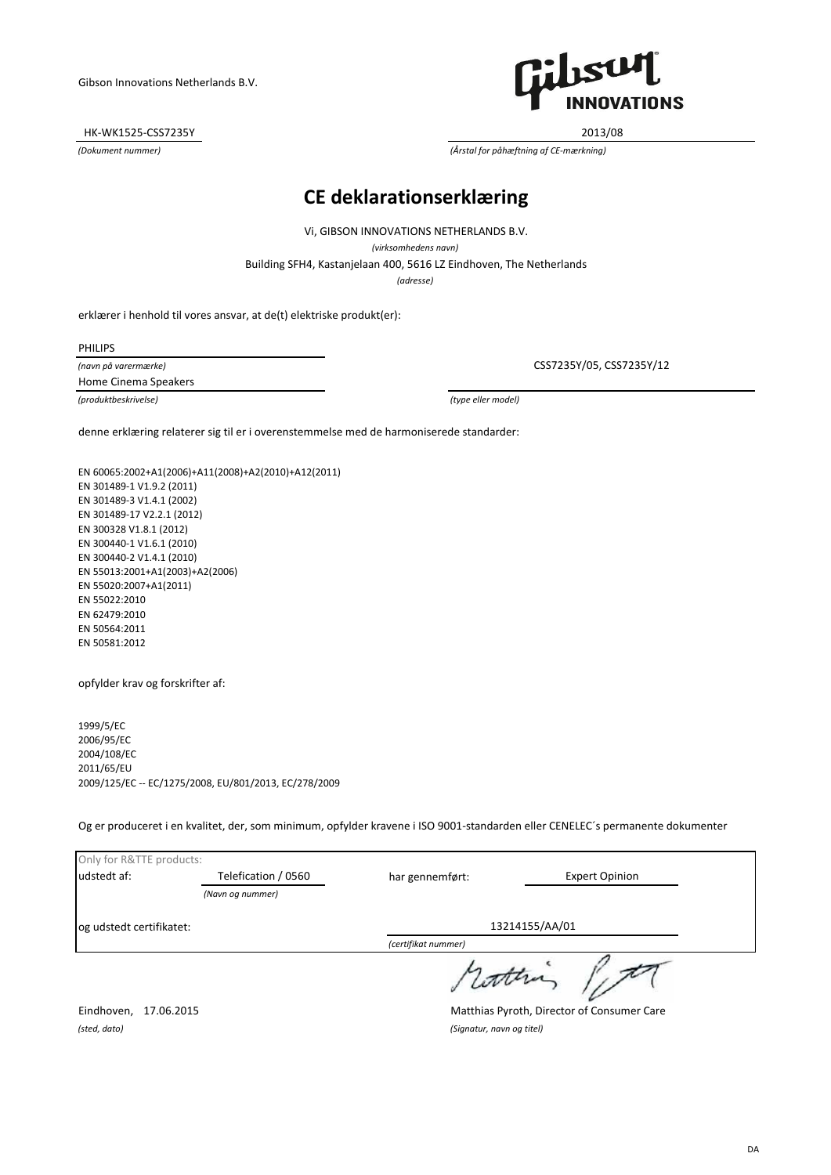HK-WK1525-CSS7235Y 2013/08



*(Dokument nummer) (Årstal for påhæftning af CE-mærkning)*

### **CE deklarationserklæring**

Vi, GIBSON INNOVATIONS NETHERLANDS B.V.

*(virksomhedens navn)*

Building SFH4, Kastanjelaan 400, 5616 LZ Eindhoven, The Netherlands

*(adresse)*

erklærer i henhold til vores ansvar, at de(t) elektriske produkt(er):

PHILIPS

*(navn på varermærke)* Home Cinema Speakers

*(produktbeskrivelse) (type eller model)*

CSS7235Y/05, CSS7235Y/12

denne erklæring relaterer sig til er i overenstemmelse med de harmoniserede standarder:

EN 60065:2002+A1(2006)+A11(2008)+A2(2010)+A12(2011) EN 301489-1 V1.9.2 (2011) EN 301489-3 V1.4.1 (2002) EN 301489-17 V2.2.1 (2012) EN 300328 V1.8.1 (2012) EN 300440-1 V1.6.1 (2010) EN 300440-2 V1.4.1 (2010) EN 55013:2001+A1(2003)+A2(2006) EN 55020:2007+A1(2011) EN 55022:2010 EN 62479:2010 EN 50564:2011 EN 50581:2012

opfylder krav og forskrifter af:

1999/5/EC 2006/95/EC 2004/108/EC 2011/65/EU 2009/125/EC -- EC/1275/2008, EU/801/2013, EC/278/2009

Og er produceret i en kvalitet, der, som minimum, opfylder kravene i ISO 9001-standarden eller CENELEC´s permanente dokumenter

| Only for R&TTE products:  |                     |                                            |                       |  |
|---------------------------|---------------------|--------------------------------------------|-----------------------|--|
| udstedt af:               | Telefication / 0560 | har gennemført:                            | <b>Expert Opinion</b> |  |
|                           | (Navn og nummer)    |                                            |                       |  |
| log udstedt certifikatet: |                     |                                            | 13214155/AA/01        |  |
|                           |                     | (certifikat nummer)                        |                       |  |
|                           |                     |                                            |                       |  |
| Eindhoven,                | 17.06.2015          | Matthias Pyroth, Director of Consumer Care |                       |  |

*(sted, dato) (Signatur, navn og titel)*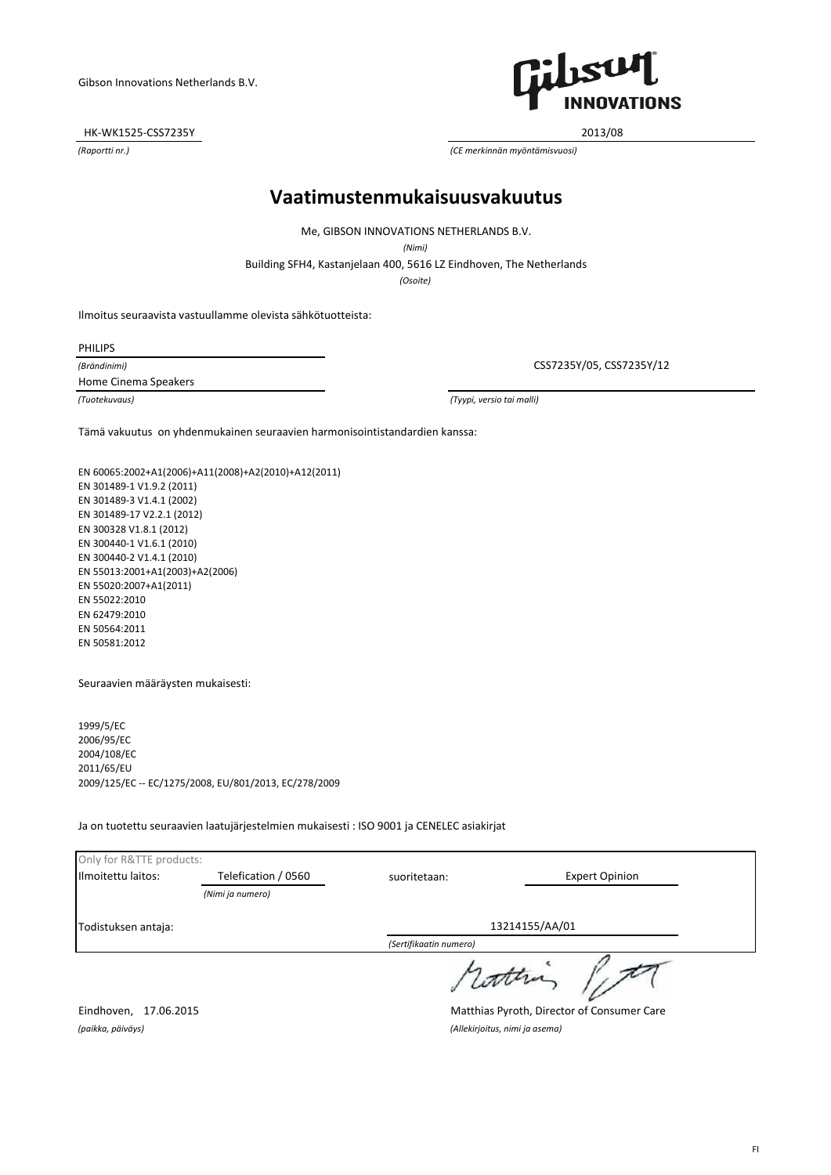HK-WK1525-CSS7235Y 2013/08



*(Raportti nr.) (CE merkinnän myöntämisvuosi)*

#### **Vaatimustenmukaisuusvakuutus**

Me, GIBSON INNOVATIONS NETHERLANDS B.V.

*(Nimi)*

Building SFH4, Kastanjelaan 400, 5616 LZ Eindhoven, The Netherlands

*(Osoite)*

Ilmoitus seuraavista vastuullamme olevista sähkötuotteista:

PHILIPS

*(Brändinimi)* Home Cinema Speakers

CSS7235Y/05, CSS7235Y/12

*(Tuotekuvaus) (Tyypi, versio tai malli)*

Tämä vakuutus on yhdenmukainen seuraavien harmonisointistandardien kanssa:

EN 60065:2002+A1(2006)+A11(2008)+A2(2010)+A12(2011) EN 301489-1 V1.9.2 (2011) EN 301489-3 V1.4.1 (2002) EN 301489-17 V2.2.1 (2012) EN 300328 V1.8.1 (2012) EN 300440-1 V1.6.1 (2010) EN 300440-2 V1.4.1 (2010) EN 55013:2001+A1(2003)+A2(2006) EN 55020:2007+A1(2011) EN 55022:2010 EN 62479:2010 EN 50564:2011 EN 50581:2012

Seuraavien määräysten mukaisesti:

1999/5/EC 2006/95/EC 2004/108/EC 2011/65/EU 2009/125/EC -- EC/1275/2008, EU/801/2013, EC/278/2009

Ja on tuotettu seuraavien laatujärjestelmien mukaisesti : ISO 9001 ja CENELEC asiakirjat

| Only for R&TTE products: |                     |                                            |                       |  |
|--------------------------|---------------------|--------------------------------------------|-----------------------|--|
| Ilmoitettu laitos:       | Telefication / 0560 | suoritetaan:                               | <b>Expert Opinion</b> |  |
|                          | (Nimi ja numero)    |                                            |                       |  |
| Todistuksen antaja:      |                     | 13214155/AA/01                             |                       |  |
|                          |                     | (Sertifikaatin numero)                     |                       |  |
|                          |                     |                                            |                       |  |
| Eindhoven,<br>17.06.2015 |                     | Matthias Pyroth, Director of Consumer Care |                       |  |

*(paikka, päiväys) (Allekirjoitus, nimi ja asema)*

FI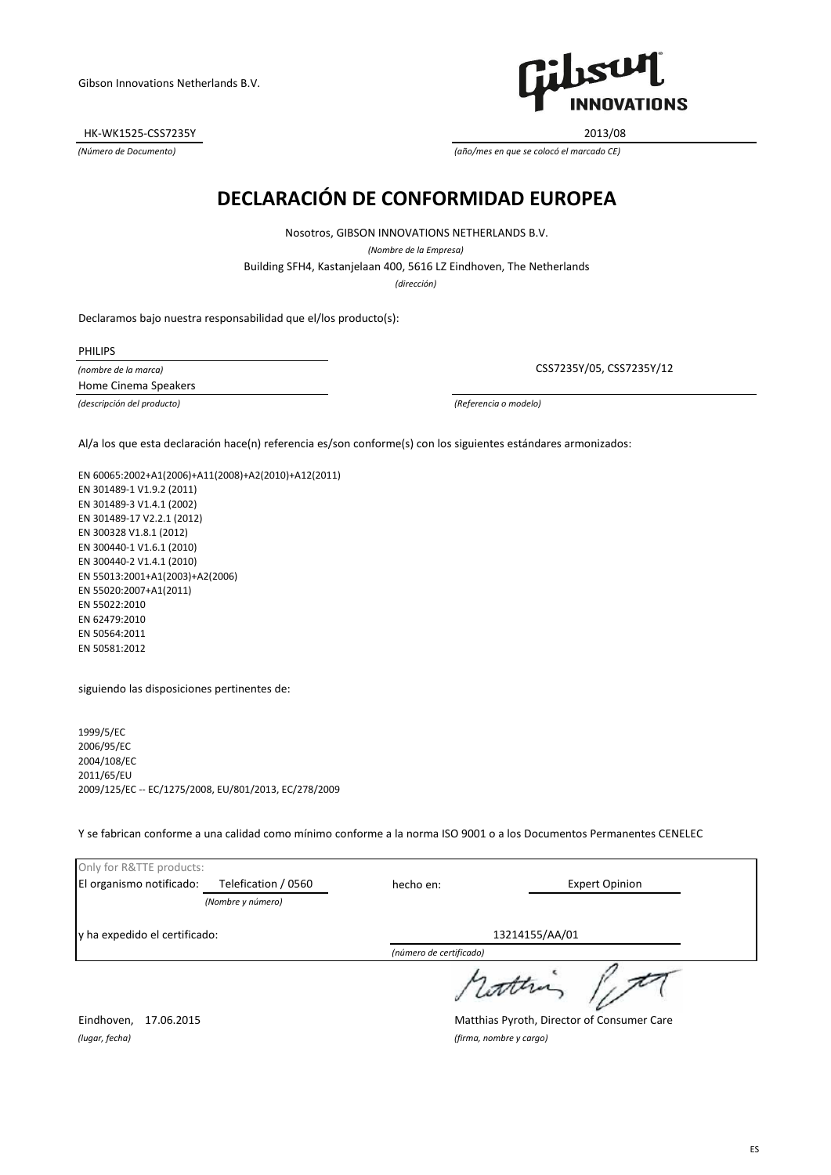HK-WK1525-CSS7235Y 2013/08



*(Número de Documento) (año/mes en que se colocó el marcado CE)*

# **DECLARACIÓN DE CONFORMIDAD EUROPEA**

Building SFH4, Kastanjelaan 400, 5616 LZ Eindhoven, The Netherlands Nosotros, GIBSON INNOVATIONS NETHERLANDS B.V. *(Nombre de la Empresa)*

*(dirección)*

Declaramos bajo nuestra responsabilidad que el/los producto(s):

PHILIPS

*(nombre de la marca)* Home Cinema Speakers

*(descripción del producto) (Referencia o modelo)*

CSS7235Y/05, CSS7235Y/12

Al/a los que esta declaración hace(n) referencia es/son conforme(s) con los siguientes estándares armonizados:

EN 60065:2002+A1(2006)+A11(2008)+A2(2010)+A12(2011) EN 301489-1 V1.9.2 (2011) EN 301489-3 V1.4.1 (2002) EN 301489-17 V2.2.1 (2012) EN 300328 V1.8.1 (2012) EN 300440-1 V1.6.1 (2010) EN 300440-2 V1.4.1 (2010) EN 55013:2001+A1(2003)+A2(2006) EN 55020:2007+A1(2011) EN 55022:2010 EN 62479:2010 EN 50564:2011 EN 50581:2012

siguiendo las disposiciones pertinentes de:

1999/5/EC 2006/95/EC 2004/108/EC 2011/65/EU 2009/125/EC -- EC/1275/2008, EU/801/2013, EC/278/2009

Y se fabrican conforme a una calidad como mínimo conforme a la norma ISO 9001 o a los Documentos Permanentes CENELEC

| Only for R&TTE products:      |                     |                |                       |
|-------------------------------|---------------------|----------------|-----------------------|
| El organismo notificado:      | Telefication / 0560 | hecho en:      | <b>Expert Opinion</b> |
|                               | (Nombre y número)   |                |                       |
| y ha expedido el certificado: |                     | 13214155/AA/01 |                       |
|                               |                     |                |                       |
|                               |                     |                | dathi                 |

Eindhoven, 17.06.2015 Matthias Pyroth, Director of Consumer Care

*(lugar, fecha) (firma, nombre y cargo)*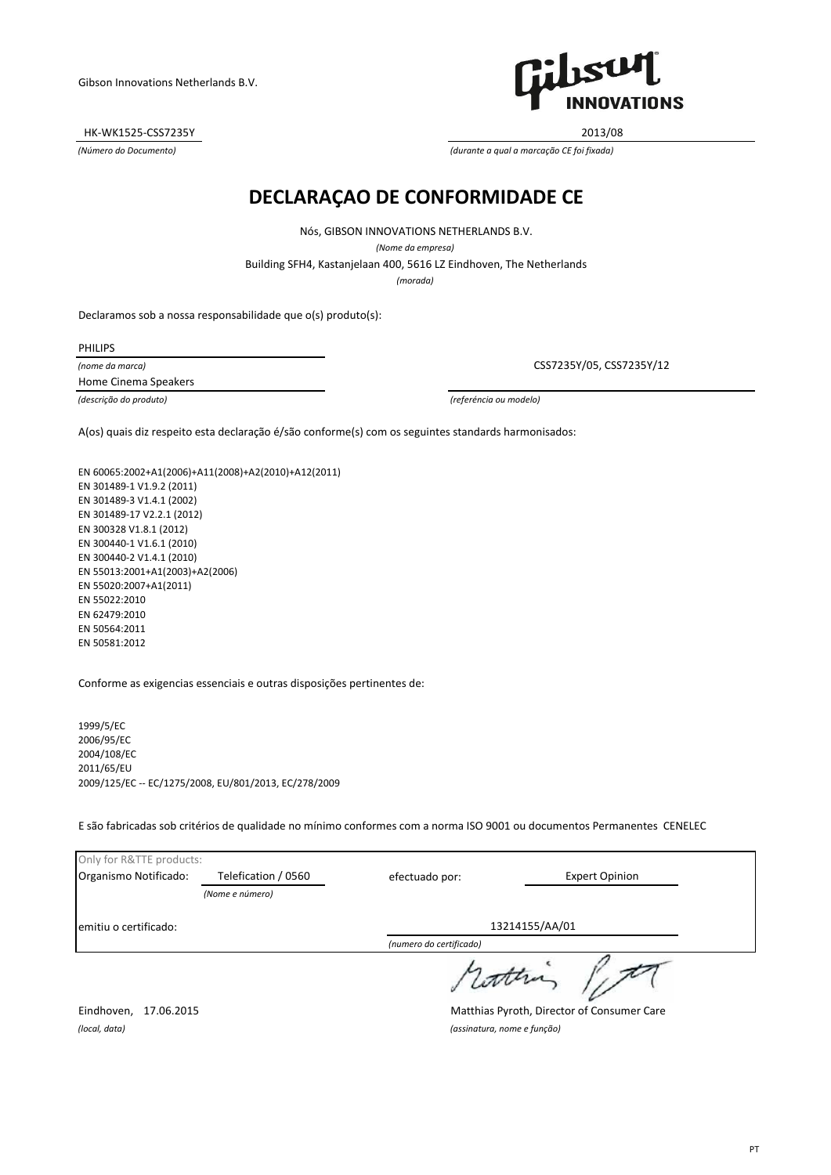HK-WK1525-CSS7235Y 2013/08



*(Número do Documento) (durante a qual a marcação CE foi fixada)*

# **DECLARAÇAO DE CONFORMIDADE CE**

Nós, GIBSON INNOVATIONS NETHERLANDS B.V.

*(Nome da empresa)*

Building SFH4, Kastanjelaan 400, 5616 LZ Eindhoven, The Netherlands

*(morada)*

Declaramos sob a nossa responsabilidade que o(s) produto(s):

PHILIPS

*(nome da marca)* Home Cinema Speakers

CSS7235Y/05, CSS7235Y/12

*(descrição do produto) (referéncia ou modelo)*

A(os) quais diz respeito esta declaração é/são conforme(s) com os seguintes standards harmonisados:

EN 60065:2002+A1(2006)+A11(2008)+A2(2010)+A12(2011) EN 301489-1 V1.9.2 (2011) EN 301489-3 V1.4.1 (2002) EN 301489-17 V2.2.1 (2012) EN 300328 V1.8.1 (2012) EN 300440-1 V1.6.1 (2010) EN 300440-2 V1.4.1 (2010) EN 55013:2001+A1(2003)+A2(2006) EN 55020:2007+A1(2011) EN 55022:2010 EN 62479:2010 EN 50564:2011 EN 50581:2012

Conforme as exigencias essenciais e outras disposições pertinentes de:

1999/5/EC 2006/95/EC 2004/108/EC 2011/65/EU 2009/125/EC -- EC/1275/2008, EU/801/2013, EC/278/2009

E são fabricadas sob critérios de qualidade no mínimo conformes com a norma ISO 9001 ou documentos Permanentes CENELEC

| Only for R&TTE products:       |                     |                         |                                                                                                                       |
|--------------------------------|---------------------|-------------------------|-----------------------------------------------------------------------------------------------------------------------|
| Organismo Notificado:          | Telefication / 0560 | efectuado por:          | <b>Expert Opinion</b>                                                                                                 |
|                                | (Nome e número)     |                         |                                                                                                                       |
| emitiu o certificado:          |                     |                         | 13214155/AA/01                                                                                                        |
|                                |                     | (numero do certificado) |                                                                                                                       |
|                                |                     | 1 Lotten                |                                                                                                                       |
| $-1$ $-1$<br>$1 - 0 - 0 - 1 =$ |                     |                         | $\mathbf{a}$ . $\mathbf{b}$ . $\mathbf{c}$ . $\mathbf{c}$ . $\mathbf{c}$ . $\mathbf{c}$ . $\mathbf{c}$ . $\mathbf{c}$ |

Eindhoven, 17.06.2015 Matthias Pyroth, Director of Consumer Care

*(local, data) (assinatura, nome e função)*

PT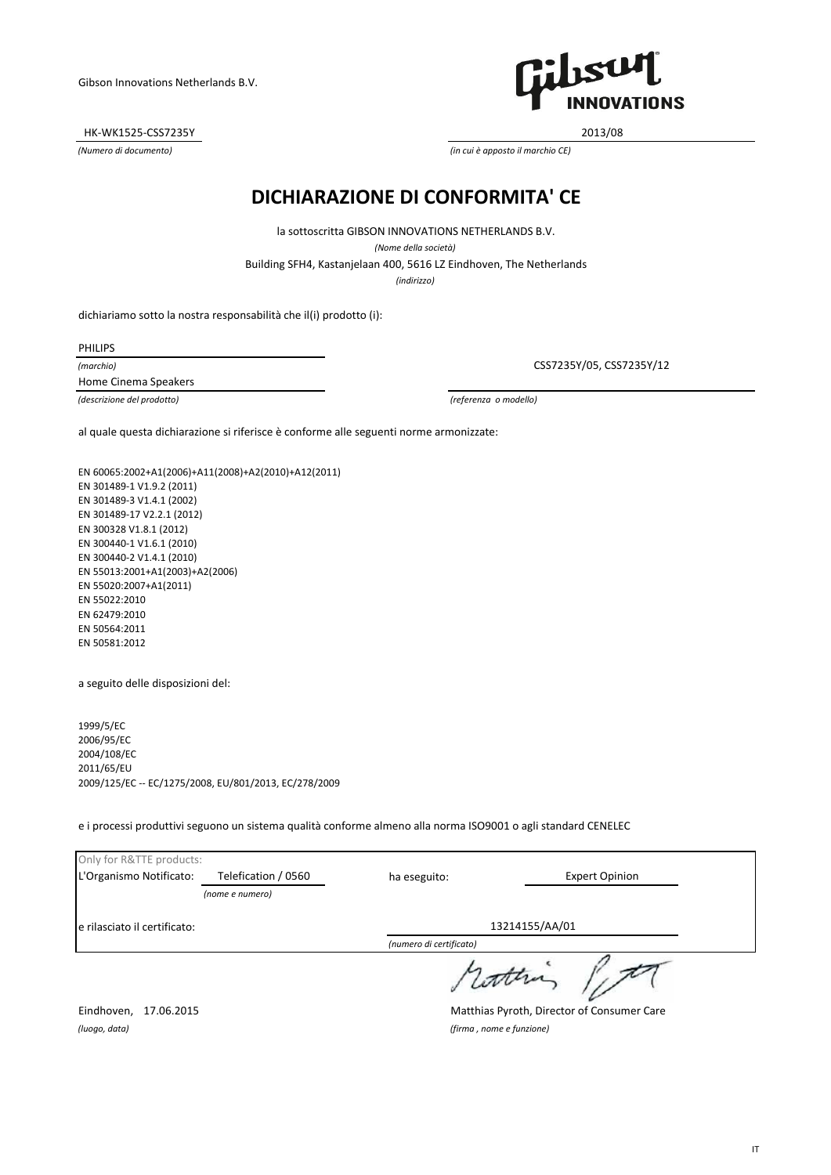HK-WK1525-CSS7235Y 2013/08



*(Numero di documento) (in cui è apposto il marchio CE)*

### **DICHIARAZIONE DI CONFORMITA' CE**

Building SFH4, Kastanjelaan 400, 5616 LZ Eindhoven, The Netherlands la sottoscritta GIBSON INNOVATIONS NETHERLANDS B.V. *(Nome della società)*

*(indirizzo)*

dichiariamo sotto la nostra responsabilità che il(i) prodotto (i):

PHILIPS

*(marchio)* Home Cinema Speakers

*(descrizione del prodotto) (referenza o modello)*

CSS7235Y/05, CSS7235Y/12

al quale questa dichiarazione si riferisce è conforme alle seguenti norme armonizzate:

EN 60065:2002+A1(2006)+A11(2008)+A2(2010)+A12(2011) EN 301489-1 V1.9.2 (2011) EN 301489-3 V1.4.1 (2002) EN 301489-17 V2.2.1 (2012) EN 300328 V1.8.1 (2012) EN 300440-1 V1.6.1 (2010) EN 300440-2 V1.4.1 (2010) EN 55013:2001+A1(2003)+A2(2006) EN 55020:2007+A1(2011) EN 55022:2010 EN 62479:2010 EN 50564:2011 EN 50581:2012

a seguito delle disposizioni del:

1999/5/EC 2006/95/EC 2004/108/EC 2011/65/EU 2009/125/EC -- EC/1275/2008, EU/801/2013, EC/278/2009

e i processi produttivi seguono un sistema qualità conforme almeno alla norma ISO9001 o agli standard CENELEC

| Only for R&TTE products:                        |                     |                                            |                       |  |
|-------------------------------------------------|---------------------|--------------------------------------------|-----------------------|--|
| L'Organismo Notificato:                         | Telefication / 0560 | ha eseguito:                               | <b>Expert Opinion</b> |  |
|                                                 | (nome e numero)     |                                            |                       |  |
| 13214155/AA/01<br>le rilasciato il certificato: |                     |                                            |                       |  |
|                                                 |                     | (numero di certificato)                    |                       |  |
|                                                 |                     |                                            |                       |  |
| Eindhoven,<br>17.06.2015                        |                     | Matthias Pyroth, Director of Consumer Care |                       |  |

*(luogo, data) (firma , nome e funzione)*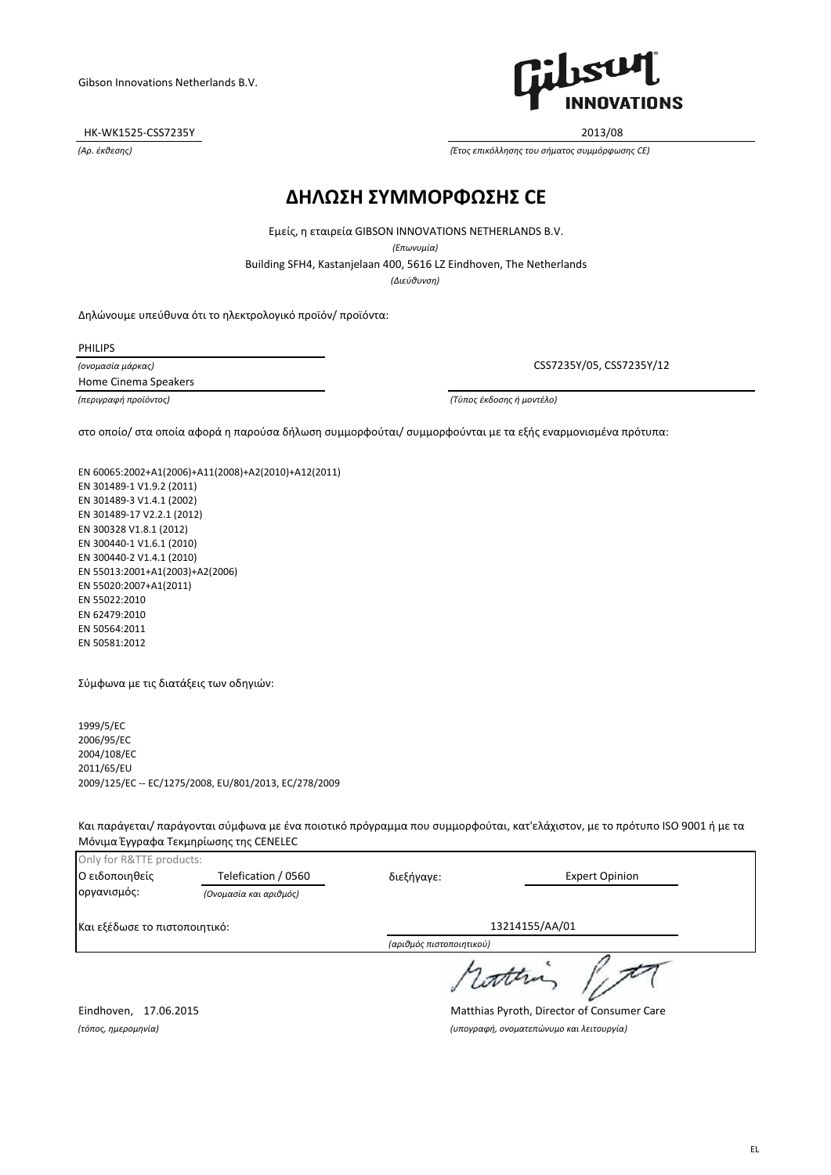HK-WK1525-CSS7235Y 2013/08



*(Αρ. έκθεσης) (Έτος επικόλλησης του σήματος συμμόρφωσης CE)*

#### **ΔΗΛΩΣΗ ΣΥΜΜΟΡΦΩΣΗΣ CE**

Building SFH4, Kastanjelaan 400, 5616 LZ Eindhoven, The Netherlands Εμείς, η εταιρεία GIBSON INNOVATIONS NETHERLANDS B.V. *(Επωνυμία) (Διεύθυνση)*

Δηλώνουμε υπεύθυνα ότι το ηλεκτρολογικό προϊόν/ προϊόντα:

PHILIPS

*(ονομασία μάρκας)* Home Cinema Speakers

CSS7235Y/05, CSS7235Y/12

*(περιγραφή προϊόντος) (Τύπος έκδοσης ή μοντέλο)*

στο οποίο/ στα οποία αφορά η παρούσα δήλωση συμμορφούται/ συμμορφούνται με τα εξής εναρμονισμένα πρότυπα:

EN 60065:2002+A1(2006)+A11(2008)+A2(2010)+A12(2011) EN 301489-1 V1.9.2 (2011) EN 301489-3 V1.4.1 (2002) EN 301489-17 V2.2.1 (2012) EN 300328 V1.8.1 (2012) EN 300440-1 V1.6.1 (2010) EN 300440-2 V1.4.1 (2010) EN 55013:2001+A1(2003)+A2(2006) EN 55020:2007+A1(2011) EN 55022:2010 EN 62479:2010 EN 50564:2011 EN 50581:2012

Σύμφωνα με τις διατάξεις των οδηγιών:

1999/5/EC 2006/95/EC 2004/108/EC 2011/65/EU 2009/125/EC -- EC/1275/2008, EU/801/2013, EC/278/2009

Και παράγεται/ παράγονται σύμφωνα με ένα ποιοτικό πρόγραμμα που συμμορφούται, κατ'ελάχιστον, με το πρότυπο ISO 9001 ή με τα Μόνιμα Έγγραφα Τεκμηρίωσης της CENELEC

| Only for R&TTE products:      |                        |                          |                       |
|-------------------------------|------------------------|--------------------------|-----------------------|
| Ο ειδοποιηθείς                | Telefication / 0560    | διεξήγαγε:               | <b>Expert Opinion</b> |
| οργανισμός:                   | (Ονομασία και αριθμός) |                          |                       |
| Και εξέδωσε το πιστοποιητικό: |                        | 13214155/AA/01           |                       |
|                               |                        | (αριθμός πιστοποιητικού) |                       |
|                               |                        |                          | / Lotten              |

Eindhoven, 17.06.2015 Matthias Pyroth, Director of Consumer Care *(τόπος, ημερομηνία) (υπογραφή, ονοματεπώνυμο και λειτουργία)*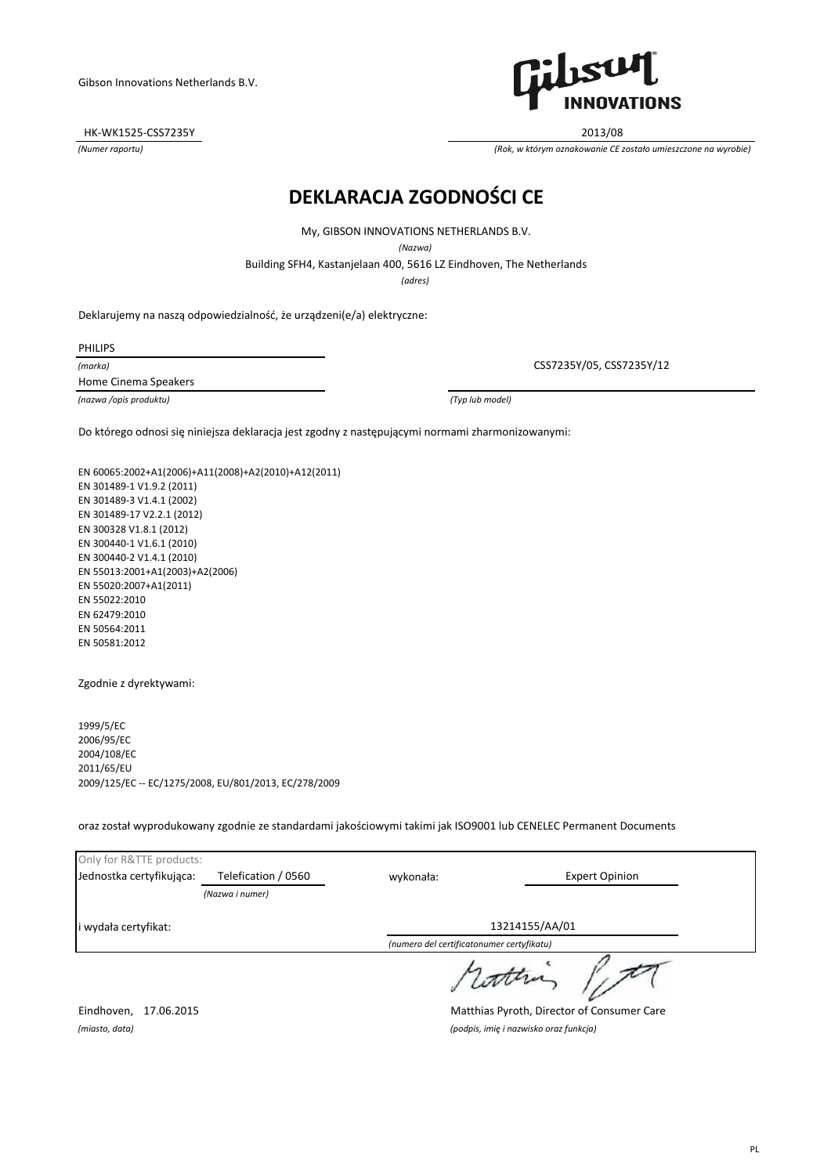HK-WK1525-CSS7235Y 2013/08



*(Numer raportu) (Rok, w którym oznakowanie CE zostało umieszczone na wyrobie)*

# **DEKLARACJA ZGODNOŚCI CE**

My, GIBSON INNOVATIONS NETHERLANDS B.V.

*(Nazwa)*

Building SFH4, Kastanjelaan 400, 5616 LZ Eindhoven, The Netherlands

*(adres)*

Deklarujemy na naszą odpowiedzialność, że urządzeni(e/a) elektryczne:

PHILIPS

*(marka)*

Home Cinema Speakers

*(nazwa /opis produktu) (Typ lub model)*

CSS7235Y/05, CSS7235Y/12

Do którego odnosi się niniejsza deklaracja jest zgodny z następującymi normami zharmonizowanymi:

EN 60065:2002+A1(2006)+A11(2008)+A2(2010)+A12(2011) EN 301489-1 V1.9.2 (2011) EN 301489-3 V1.4.1 (2002) EN 301489-17 V2.2.1 (2012) EN 300328 V1.8.1 (2012) EN 300440-1 V1.6.1 (2010) EN 300440-2 V1.4.1 (2010) EN 55013:2001+A1(2003)+A2(2006) EN 55020:2007+A1(2011) EN 55022:2010 EN 62479:2010 EN 50564:2011 EN 50581:2012

Zgodnie z dyrektywami:

1999/5/EC 2006/95/EC 2004/108/EC 2011/65/EU 2009/125/EC -- EC/1275/2008, EU/801/2013, EC/278/2009

oraz został wyprodukowany zgodnie ze standardami jakościowymi takimi jak ISO9001 lub CENELEC Permanent Documents

| Only for R&TTE products: |                                            |                                           |                       |  |
|--------------------------|--------------------------------------------|-------------------------------------------|-----------------------|--|
| Jednostka certyfikująca: | Telefication / 0560                        | wykonała:                                 | <b>Expert Opinion</b> |  |
|                          | (Nazwa i numer)                            |                                           |                       |  |
| i wydała certyfikat:     |                                            |                                           | 13214155/AA/01        |  |
|                          |                                            | (numero del certificatonumer certyfikatu) |                       |  |
|                          |                                            |                                           |                       |  |
| 17.06.2015<br>Eindhoven, | Matthias Pyroth, Director of Consumer Care |                                           |                       |  |
| (miasto, data)           |                                            | (podpis, imię i nazwisko oraz funkcja)    |                       |  |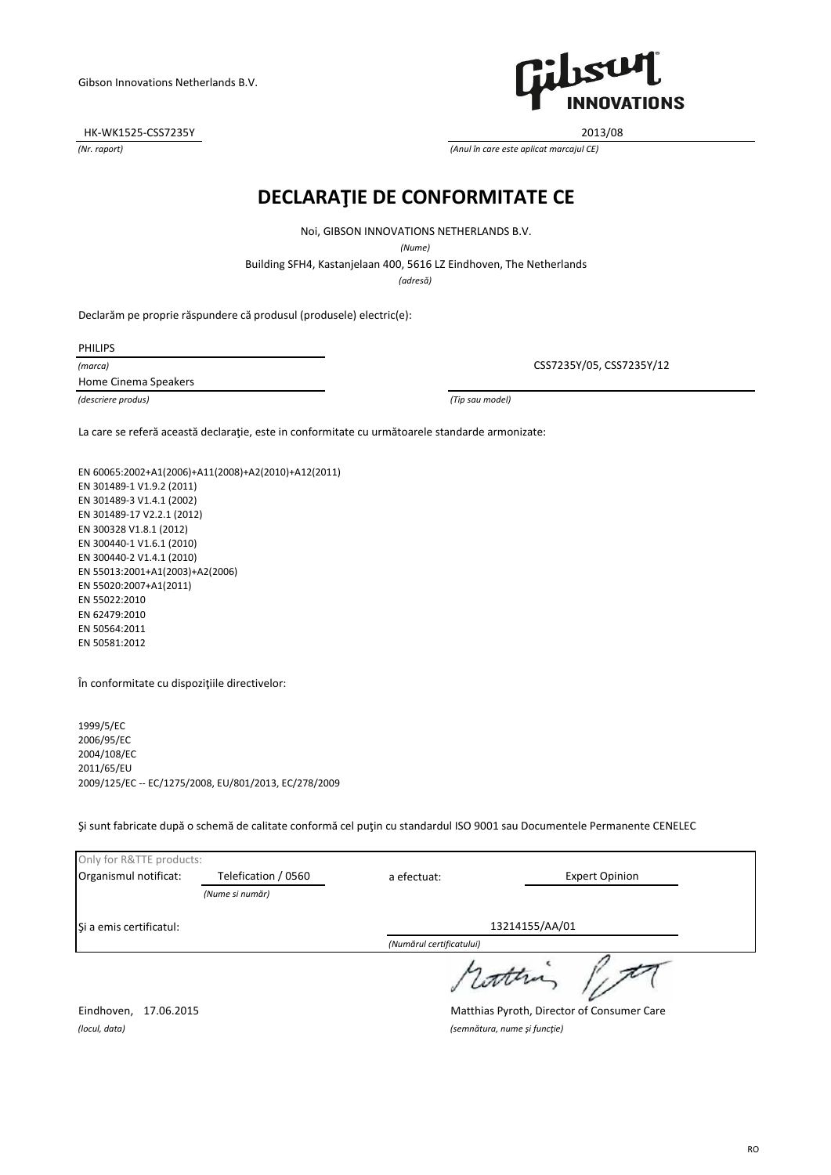HK-WK1525-CSS7235Y 2013/08



*(Nr. raport) (Anul în care este aplicat marcajul CE)*

# **DECLARAŢIE DE CONFORMITATE CE**

Noi, GIBSON INNOVATIONS NETHERLANDS B.V.

*(Nume)*

Building SFH4, Kastanjelaan 400, 5616 LZ Eindhoven, The Netherlands

*(adresă)*

Declarăm pe proprie răspundere că produsul (produsele) electric(e):

PHILIPS

*(marca)*

Home Cinema Speakers

*(descriere produs) (Tip sau model)*

CSS7235Y/05, CSS7235Y/12

La care se referă această declaraţie, este in conformitate cu următoarele standarde armonizate:

EN 60065:2002+A1(2006)+A11(2008)+A2(2010)+A12(2011) EN 301489-1 V1.9.2 (2011) EN 301489-3 V1.4.1 (2002) EN 301489-17 V2.2.1 (2012) EN 300328 V1.8.1 (2012) EN 300440-1 V1.6.1 (2010) EN 300440-2 V1.4.1 (2010) EN 55013:2001+A1(2003)+A2(2006) EN 55020:2007+A1(2011) EN 55022:2010 EN 62479:2010 EN 50564:2011 EN 50581:2012

În conformitate cu dispoziţiile directivelor:

1999/5/EC 2006/95/EC 2004/108/EC 2011/65/EU 2009/125/EC -- EC/1275/2008, EU/801/2013, EC/278/2009

Şi sunt fabricate după o schemă de calitate conformă cel puţin cu standardul ISO 9001 sau Documentele Permanente CENELEC

| Only for R&TTE products:               |                     |                          |                       |
|----------------------------------------|---------------------|--------------------------|-----------------------|
| Organismul notificat:                  | Telefication / 0560 | a efectuat:              | <b>Expert Opinion</b> |
|                                        | (Nume si număr)     |                          |                       |
| Si a emis certificatul:                |                     |                          | 13214155/AA/01        |
|                                        |                     | (Numărul certificatului) |                       |
| datha                                  |                     |                          |                       |
| $- \cdot$ $\cdot$<br>$-$ - - - - - - - |                     |                          | $\sim$ $\sim$         |

Eindhoven, 17.06.2015 Matthias Pyroth, Director of Consumer Care

*(locul, data) (semnătura, nume şi funcţie)*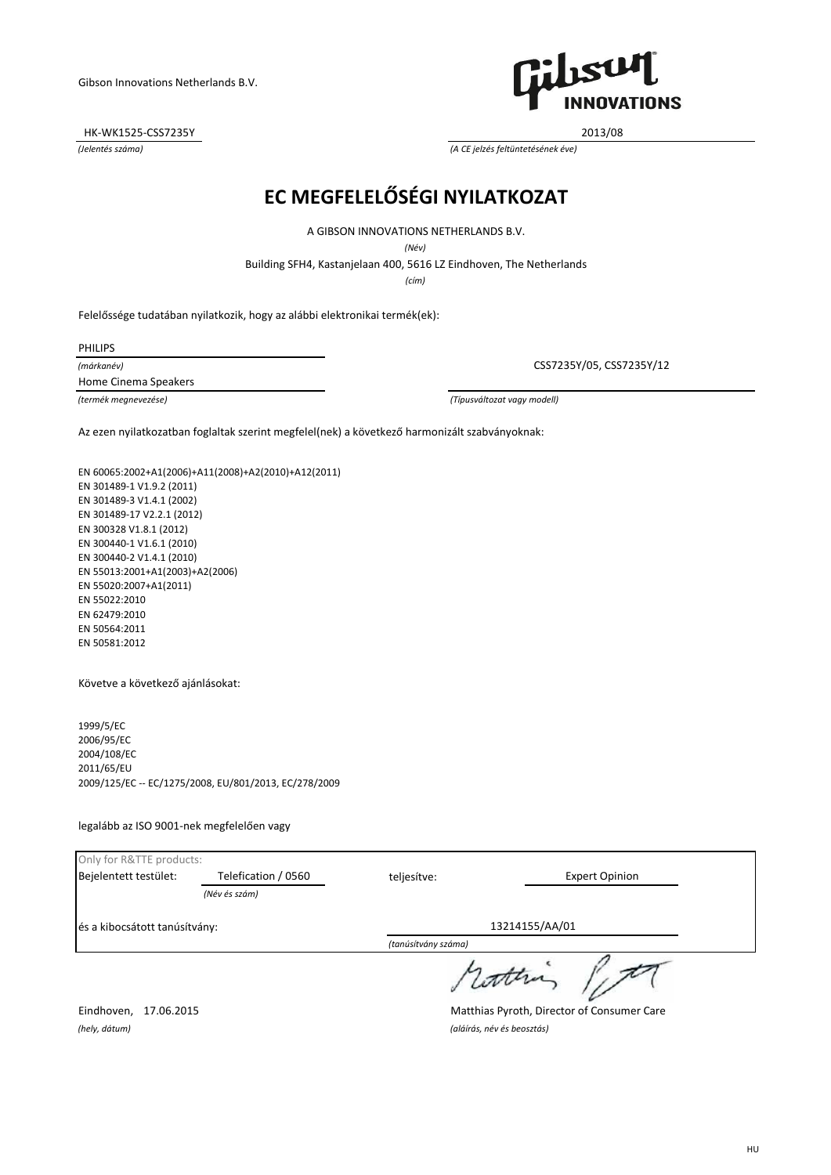HK-WK1525-CSS7235Y 2013/08

SU **INNOVATIONS** 

*(Jelentés száma) (A CE jelzés feltüntetésének éve)*

# **EC MEGFELELŐSÉGI NYILATKOZAT**

A GIBSON INNOVATIONS NETHERLANDS B.V.

*(Név)*

Building SFH4, Kastanjelaan 400, 5616 LZ Eindhoven, The Netherlands

*(cím)*

Felelőssége tudatában nyilatkozik, hogy az alábbi elektronikai termék(ek):

PHILIPS

*(márkanév)* Home Cinema Speakers

CSS7235Y/05, CSS7235Y/12

*(termék megnevezése) (Típusváltozat vagy modell)*

Az ezen nyilatkozatban foglaltak szerint megfelel(nek) a következő harmonizált szabványoknak:

EN 60065:2002+A1(2006)+A11(2008)+A2(2010)+A12(2011) EN 301489-1 V1.9.2 (2011) EN 301489-3 V1.4.1 (2002) EN 301489-17 V2.2.1 (2012) EN 300328 V1.8.1 (2012) EN 300440-1 V1.6.1 (2010) EN 300440-2 V1.4.1 (2010) EN 55013:2001+A1(2003)+A2(2006) EN 55020:2007+A1(2011) EN 55022:2010 EN 62479:2010 EN 50564:2011 EN 50581:2012

Követve a következő ajánlásokat:

1999/5/EC 2006/95/EC 2004/108/EC 2011/65/EU 2009/125/EC -- EC/1275/2008, EU/801/2013, EC/278/2009

legalább az ISO 9001-nek megfelelően vagy

|                               |                     | $\sqrt{2}$ $\sqrt{2}$ $\sqrt{2}$ $\sqrt{2}$ $\sqrt{2}$ $\sqrt{2}$ |                       |
|-------------------------------|---------------------|-------------------------------------------------------------------|-----------------------|
| és a kibocsátott tanúsítvány: |                     |                                                                   | 13214155/AA/01        |
|                               | (Név és szám)       |                                                                   |                       |
| Bejelentett testület:         | Telefication / 0560 | teljesítve:                                                       | <b>Expert Opinion</b> |
| Only for R&TTE products:      |                     |                                                                   |                       |

*(tanúsítvány száma)*

rotten

Eindhoven, 17.06.2015 Matthias Pyroth, Director of Consumer Care

*(hely, dátum) (aláírás, név és beosztás)*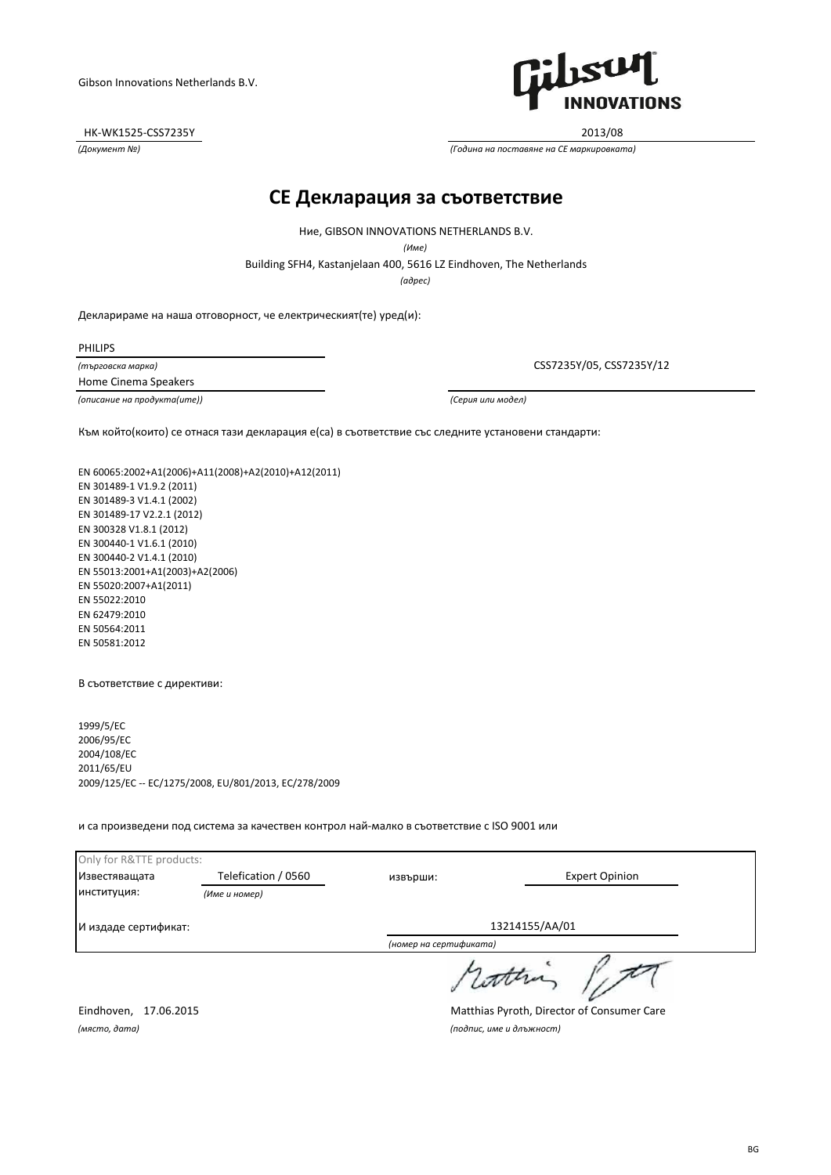HK-WK1525-CSS7235Y 2013/08



*(Документ №) (Година на поставяне на CE маркировката)*

#### **CE Декларация за съответствие**

Building SFH4, Kastanjelaan 400, 5616 LZ Eindhoven, The Netherlands Ние, GIBSON INNOVATIONS NETHERLANDS B.V. *(Име)*

*(адрес)*

Декларираме на наша отговорност, че електрическият(те) уред(и):

PHILIPS

*(търговска марка)* Home Cinema Speakers

*(описание на продукта(ите)) (Серия или модел)*

CSS7235Y/05, CSS7235Y/12

Към който(които) се отнася тази декларация е(са) в съответствие със следните установени стандарти:

EN 60065:2002+A1(2006)+A11(2008)+A2(2010)+A12(2011) EN 301489-1 V1.9.2 (2011) EN 301489-3 V1.4.1 (2002) EN 301489-17 V2.2.1 (2012) EN 300328 V1.8.1 (2012) EN 300440-1 V1.6.1 (2010) EN 300440-2 V1.4.1 (2010) EN 55013:2001+A1(2003)+A2(2006) EN 55020:2007+A1(2011) EN 55022:2010 EN 62479:2010 EN 50564:2011 EN 50581:2012

В съответствие с директиви:

1999/5/EC 2006/95/EC 2004/108/EC 2011/65/EU 2009/125/EC -- EC/1275/2008, EU/801/2013, EC/278/2009

и са произведени под система за качествен контрол най-малко в съответствие с ISO 9001 или

| Only for R&TTE products: |                     |                        |                       |
|--------------------------|---------------------|------------------------|-----------------------|
| Известяващата            | Telefication / 0560 | извърши:               | <b>Expert Opinion</b> |
| институция:              | (Име и номер)       |                        |                       |
| И издаде сертификат:     |                     | 13214155/AA/01         |                       |
|                          |                     | (номер на сертификата) |                       |
|                          |                     |                        | / Latter              |

*(място, дата) (подпис, име и длъжност)*

Eindhoven, 17.06.2015 Matthias Pyroth, Director of Consumer Care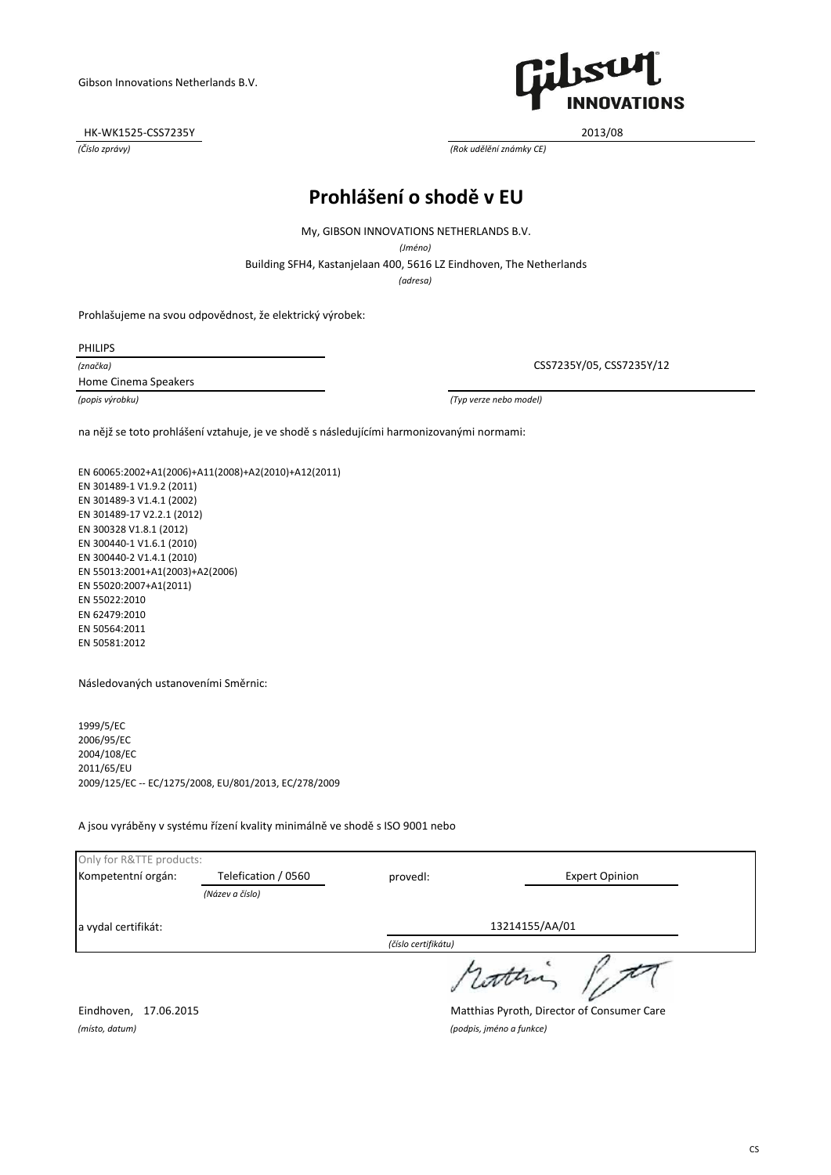HK-WK1525-CSS7235Y 2013/08



*(Číslo zprávy) (Rok udělění známky CE)*

# **Prohlášení o shodě v EU**

My, GIBSON INNOVATIONS NETHERLANDS B.V.

*(Jméno)*

Building SFH4, Kastanjelaan 400, 5616 LZ Eindhoven, The Netherlands

*(adresa)*

Prohlašujeme na svou odpovědnost, že elektrický výrobek:

PHILIPS

*(značka)* Home Cinema Speakers

CSS7235Y/05, CSS7235Y/12

*(popis výrobku) (Typ verze nebo model)*

na nějž se toto prohlášení vztahuje, je ve shodě s následujícími harmonizovanými normami:

EN 60065:2002+A1(2006)+A11(2008)+A2(2010)+A12(2011) EN 301489-1 V1.9.2 (2011) EN 301489-3 V1.4.1 (2002) EN 301489-17 V2.2.1 (2012) EN 300328 V1.8.1 (2012) EN 300440-1 V1.6.1 (2010) EN 300440-2 V1.4.1 (2010) EN 55013:2001+A1(2003)+A2(2006) EN 55020:2007+A1(2011) EN 55022:2010 EN 62479:2010 EN 50564:2011 EN 50581:2012

Následovaných ustanoveními Směrnic:

1999/5/EC 2006/95/EC 2004/108/EC 2011/65/EU 2009/125/EC -- EC/1275/2008, EU/801/2013, EC/278/2009

A jsou vyráběny v systému řízení kvality minimálně ve shodě s ISO 9001 nebo

| Only for R&TTE products: |                     |                     |                       |
|--------------------------|---------------------|---------------------|-----------------------|
| Kompetentní orgán:       | Telefication / 0560 | provedl:            | <b>Expert Opinion</b> |
|                          | (Název a číslo)     |                     |                       |
| a vydal certifikát:      |                     |                     | 13214155/AA/01        |
|                          |                     | (číslo certifikátu) |                       |
|                          |                     |                     | s cotten              |

Eindhoven, 17.06.2015 Matthias Pyroth, Director of Consumer Care

*(místo, datum) (podpis, jméno a funkce)*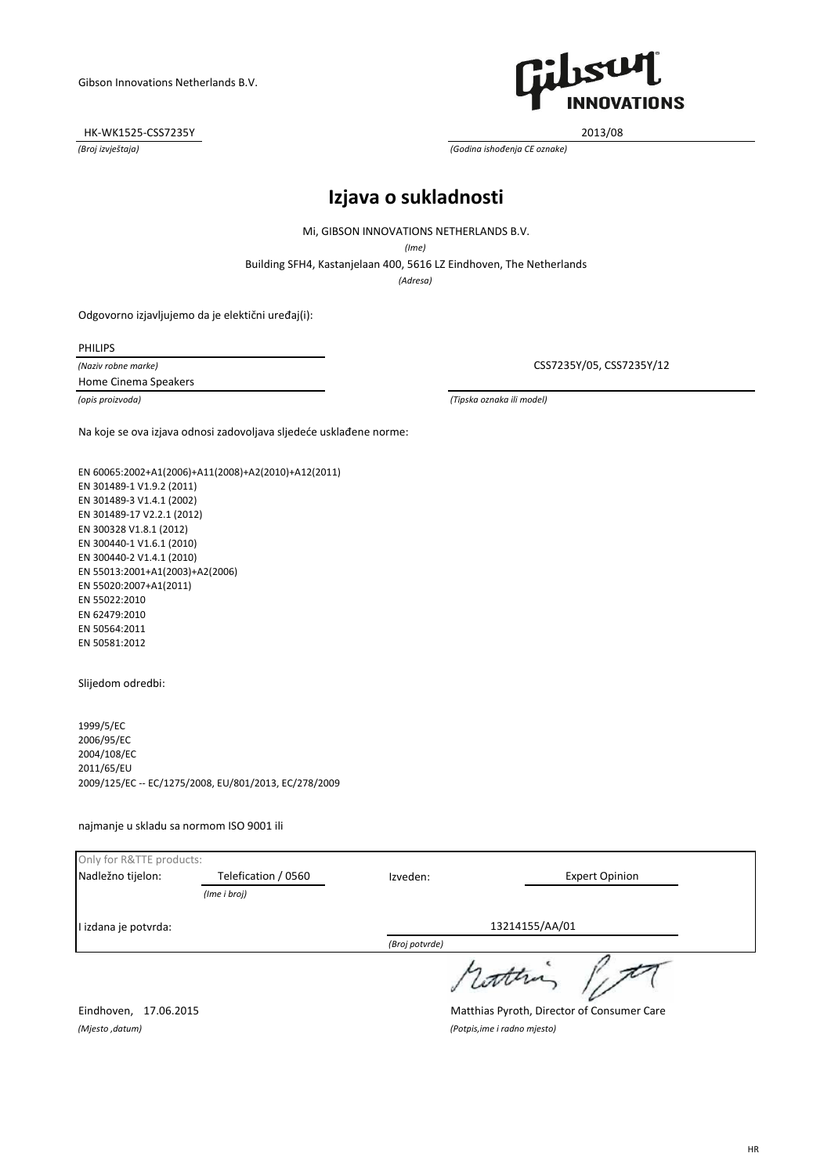HK-WK1525-CSS7235Y 2013/08



*(Broj izvještaja) (Godina ishođenja CE oznake)*

#### **Izjava o sukladnosti**

Mi, GIBSON INNOVATIONS NETHERLANDS B.V.

*(Ime)*

Building SFH4, Kastanjelaan 400, 5616 LZ Eindhoven, The Netherlands

*(Adresa)*

Odgovorno izjavljujemo da je elektični uređaj(i):

PHILIPS

*(Naziv robne marke)* Home Cinema Speakers

CSS7235Y/05, CSS7235Y/12

*(opis proizvoda) (Tipska oznaka ili model)*

Na koje se ova izjava odnosi zadovoljava sljedeće usklađene norme:

EN 60065:2002+A1(2006)+A11(2008)+A2(2010)+A12(2011) EN 301489-1 V1.9.2 (2011) EN 301489-3 V1.4.1 (2002) EN 301489-17 V2.2.1 (2012) EN 300328 V1.8.1 (2012) EN 300440-1 V1.6.1 (2010) EN 300440-2 V1.4.1 (2010) EN 55013:2001+A1(2003)+A2(2006) EN 55020:2007+A1(2011) EN 55022:2010 EN 62479:2010 EN 50564:2011 EN 50581:2012

Slijedom odredbi:

1999/5/EC 2006/95/EC 2004/108/EC 2011/65/EU 2009/125/EC -- EC/1275/2008, EU/801/2013, EC/278/2009

najmanje u skladu sa normom ISO 9001 ili

| Only for R&TTE products: |                     |                |                       |
|--------------------------|---------------------|----------------|-----------------------|
| Nadležno tijelon:        | Telefication / 0560 | Izveden:       | <b>Expert Opinion</b> |
|                          | (Ime i broj)        |                |                       |
| I izdana je potvrda:     |                     |                | 13214155/AA/01        |
|                          |                     | (Broj potvrde) |                       |
|                          |                     |                | , cottra              |

Eindhoven, 17.06.2015 Matthias Pyroth, Director of Consumer Care

*(Mjesto ,datum) (Potpis,ime i radno mjesto)*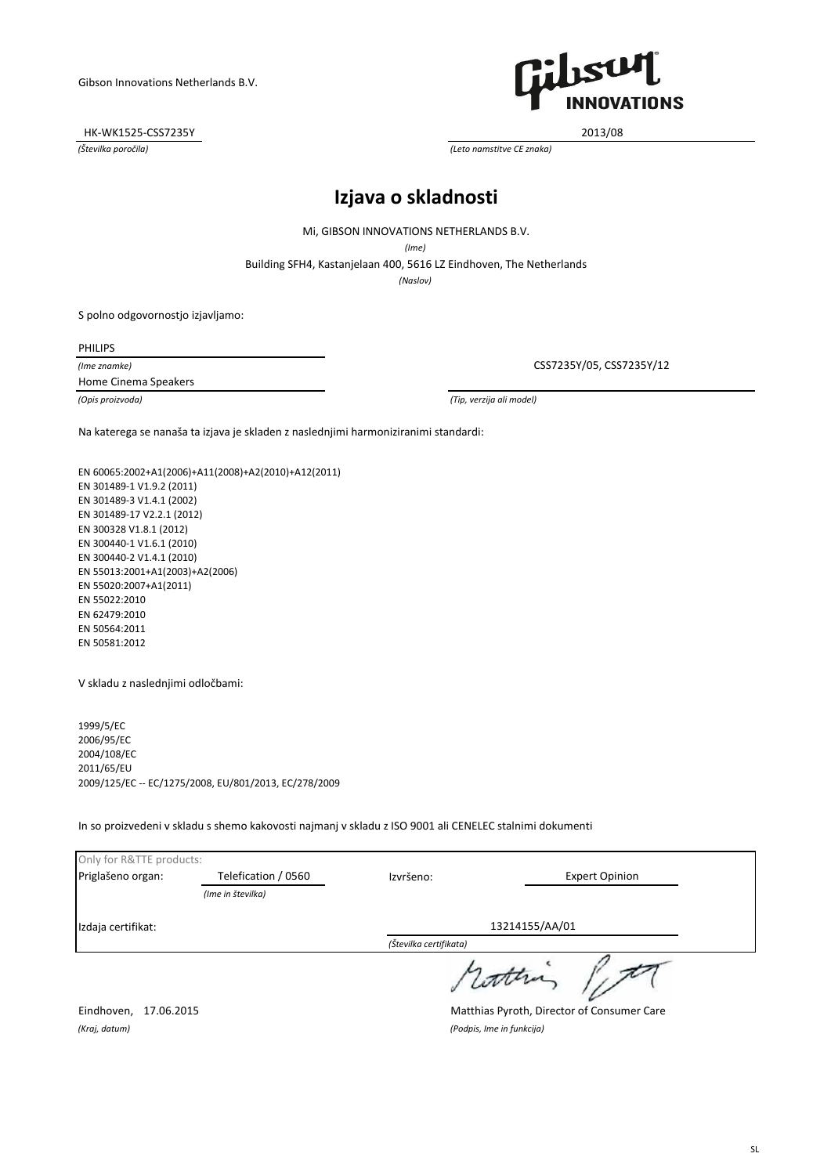HK-WK1525-CSS7235Y 2013/08



*(Številka poročila) (Leto namstitve CE znaka)*

# **Izjava o skladnosti**

Mi, GIBSON INNOVATIONS NETHERLANDS B.V.

*(Ime)*

Building SFH4, Kastanjelaan 400, 5616 LZ Eindhoven, The Netherlands

*(Naslov)*

S polno odgovornostjo izjavljamo:

PHILIPS

*(Ime znamke)* Home Cinema Speakers

CSS7235Y/05, CSS7235Y/12

*(Opis proizvoda) (Tip, verzija ali model)*

Na katerega se nanaša ta izjava je skladen z naslednjimi harmoniziranimi standardi:

EN 60065:2002+A1(2006)+A11(2008)+A2(2010)+A12(2011) EN 301489-1 V1.9.2 (2011) EN 301489-3 V1.4.1 (2002) EN 301489-17 V2.2.1 (2012) EN 300328 V1.8.1 (2012) EN 300440-1 V1.6.1 (2010) EN 300440-2 V1.4.1 (2010) EN 55013:2001+A1(2003)+A2(2006) EN 55020:2007+A1(2011) EN 55022:2010 EN 62479:2010 EN 50564:2011 EN 50581:2012

V skladu z naslednjimi odločbami:

1999/5/EC 2006/95/EC 2004/108/EC 2011/65/EU 2009/125/EC -- EC/1275/2008, EU/801/2013, EC/278/2009

In so proizvedeni v skladu s shemo kakovosti najmanj v skladu z ISO 9001 ali CENELEC stalnimi dokumenti

| Only for R&TTE products: |                     |                        |                       |
|--------------------------|---------------------|------------------------|-----------------------|
| Priglašeno organ:        | Telefication / 0560 | Izvršeno:              | <b>Expert Opinion</b> |
|                          | (Ime in številka)   |                        |                       |
| Izdaja certifikat:       |                     | 13214155/AA/01         |                       |
|                          |                     | (Številka certifikata) |                       |
|                          |                     |                        | / latter              |

Eindhoven, 17.06.2015 Matthias Pyroth, Director of Consumer Care

*(Kraj, datum) (Podpis, Ime in funkcija)*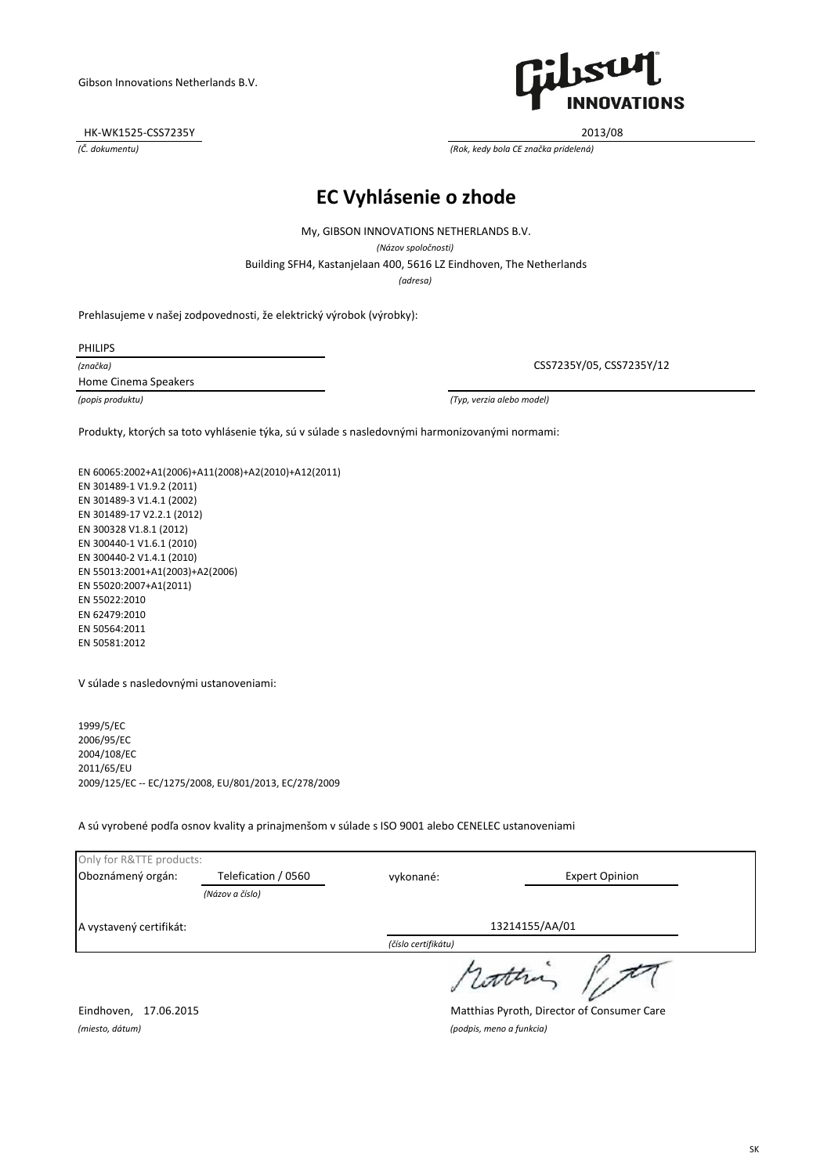HK-WK1525-CSS7235Y 2013/08



*(Č. dokumentu) (Rok, kedy bola CE značka pridelená)*

# **EC Vyhlásenie o zhode**

My, GIBSON INNOVATIONS NETHERLANDS B.V.

*(Názov spoločnosti)*

Building SFH4, Kastanjelaan 400, 5616 LZ Eindhoven, The Netherlands

*(adresa)*

Prehlasujeme v našej zodpovednosti, že elektrický výrobok (výrobky):

PHILIPS

*(značka)*

Home Cinema Speakers

CSS7235Y/05, CSS7235Y/12

*(popis produktu) (Typ, verzia alebo model)*

Produkty, ktorých sa toto vyhlásenie týka, sú v súlade s nasledovnými harmonizovanými normami:

EN 60065:2002+A1(2006)+A11(2008)+A2(2010)+A12(2011) EN 301489-1 V1.9.2 (2011) EN 301489-3 V1.4.1 (2002) EN 301489-17 V2.2.1 (2012) EN 300328 V1.8.1 (2012) EN 300440-1 V1.6.1 (2010) EN 300440-2 V1.4.1 (2010) EN 55013:2001+A1(2003)+A2(2006) EN 55020:2007+A1(2011) EN 55022:2010 EN 62479:2010 EN 50564:2011 EN 50581:2012

V súlade s nasledovnými ustanoveniami:

1999/5/EC 2006/95/EC 2004/108/EC 2011/65/EU 2009/125/EC -- EC/1275/2008, EU/801/2013, EC/278/2009

A sú vyrobené podľa osnov kvality a prinajmenšom v súlade s ISO 9001 alebo CENELEC ustanoveniami

| Only for R&TTE products: |                     |                     |                       |
|--------------------------|---------------------|---------------------|-----------------------|
| Oboznámený orgán:        | Telefication / 0560 | vykonané:           | <b>Expert Opinion</b> |
|                          | (Názov a číslo)     |                     |                       |
| A vystavený certifikát:  |                     |                     | 13214155/AA/01        |
|                          |                     | (číslo certifikátu) |                       |
|                          |                     |                     | rother                |

Eindhoven, 17.06.2015 Matthias Pyroth, Director of Consumer Care *(miesto, dátum) (podpis, meno a funkcia)*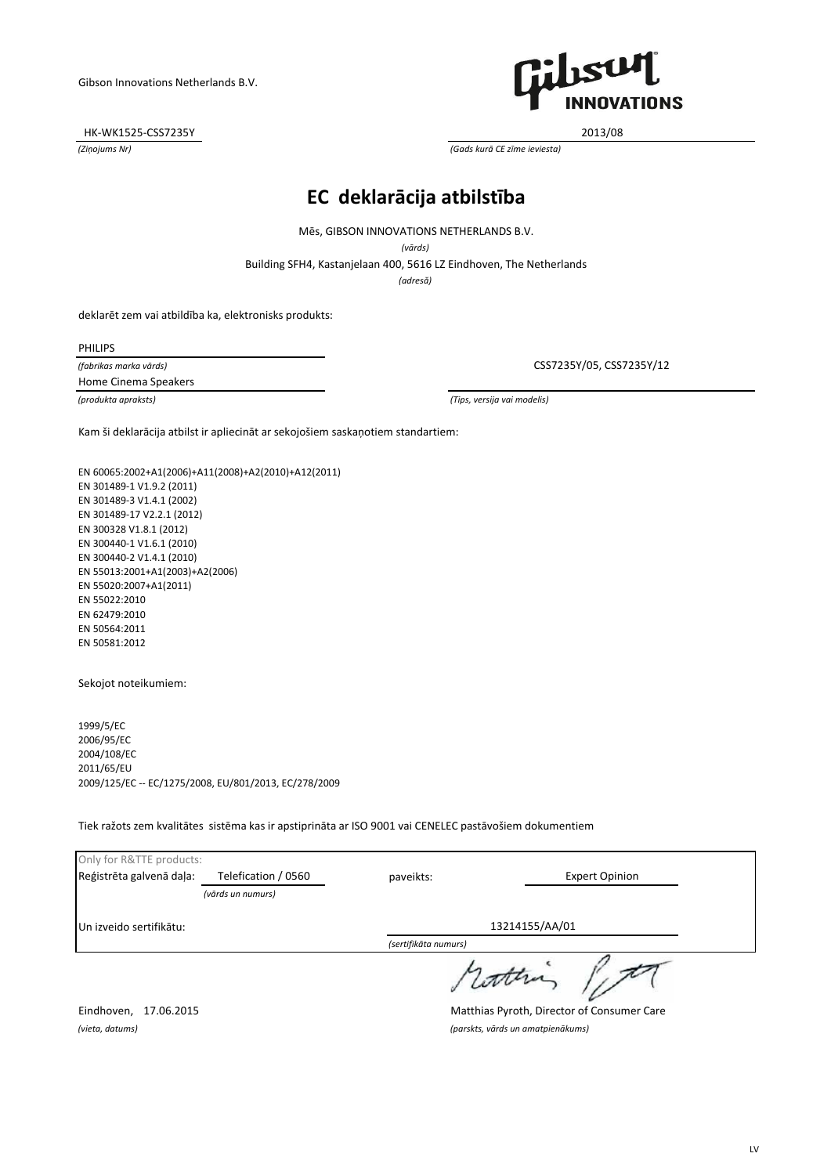HK-WK1525-CSS7235Y 2013/08



*(Ziņojums Nr) (Gads kurā CE zīme ieviesta)*

# **EC deklarācija atbilstība**

Mēs, GIBSON INNOVATIONS NETHERLANDS B.V.

*(vārds)*

Building SFH4, Kastanjelaan 400, 5616 LZ Eindhoven, The Netherlands

*(adresă)*

deklarēt zem vai atbildība ka, elektronisks produkts:

PHILIPS

*(fabrikas marka vārds)* Home Cinema Speakers

CSS7235Y/05, CSS7235Y/12

*(produkta apraksts) (Tips, versija vai modelis)*

Kam ši deklarācija atbilst ir apliecināt ar sekojošiem saskaņotiem standartiem:

EN 60065:2002+A1(2006)+A11(2008)+A2(2010)+A12(2011) EN 301489-1 V1.9.2 (2011) EN 301489-3 V1.4.1 (2002) EN 301489-17 V2.2.1 (2012) EN 300328 V1.8.1 (2012) EN 300440-1 V1.6.1 (2010) EN 300440-2 V1.4.1 (2010) EN 55013:2001+A1(2003)+A2(2006) EN 55020:2007+A1(2011) EN 55022:2010 EN 62479:2010 EN 50564:2011 EN 50581:2012

Sekojot noteikumiem:

1999/5/EC 2006/95/EC 2004/108/EC 2011/65/EU 2009/125/EC -- EC/1275/2008, EU/801/2013, EC/278/2009

Tiek ražots zem kvalitātes sistēma kas ir apstiprināta ar ISO 9001 vai CENELEC pastāvošiem dokumentiem

| Only for R&TTE products: |                     |                      |                       |
|--------------------------|---------------------|----------------------|-----------------------|
| Reģistrēta galvenā daļa: | Telefication / 0560 | paveikts:            | <b>Expert Opinion</b> |
|                          | (vārds un numurs)   |                      |                       |
| Un izveido sertifikātu:  |                     |                      | 13214155/AA/01        |
|                          |                     | (sertifikāta numurs) |                       |
|                          |                     |                      | datha                 |

Eindhoven, 17.06.2015 Matthias Pyroth, Director of Consumer Care *(vieta, datums) (parskts, vārds un amatpienākums)*

LV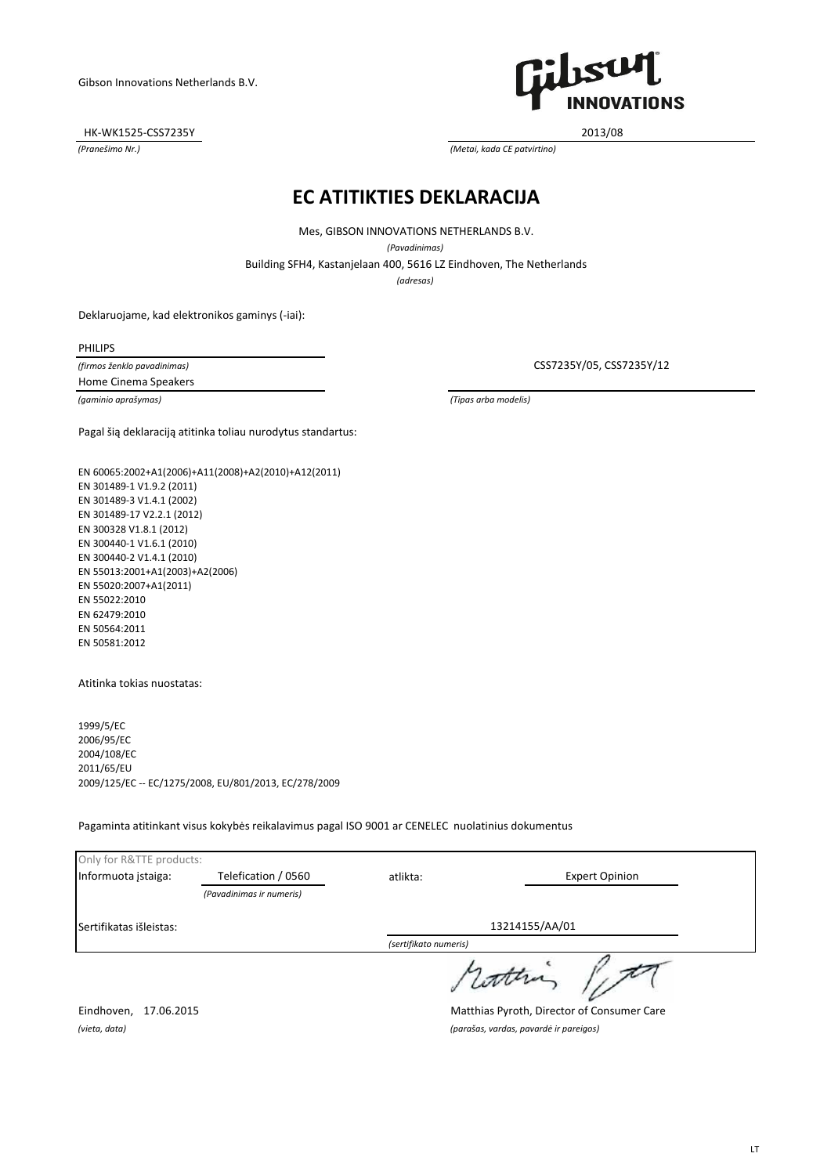HK-WK1525-CSS7235Y 2013/08



*(Pranešimo Nr.) (Metai, kada CE patvirtino)*

#### **EC ATITIKTIES DEKLARACIJA**

Building SFH4, Kastanjelaan 400, 5616 LZ Eindhoven, The Netherlands Mes, GIBSON INNOVATIONS NETHERLANDS B.V. *(Pavadinimas)*

*(adresas)*

Deklaruojame, kad elektronikos gaminys (-iai):

PHILIPS

*(firmos ženklo pavadinimas)* Home Cinema Speakers

CSS7235Y/05, CSS7235Y/12

*(gaminio aprašymas) (Tipas arba modelis)*

Pagal šią deklaraciją atitinka toliau nurodytus standartus:

EN 60065:2002+A1(2006)+A11(2008)+A2(2010)+A12(2011) EN 301489-1 V1.9.2 (2011) EN 301489-3 V1.4.1 (2002) EN 301489-17 V2.2.1 (2012) EN 300328 V1.8.1 (2012) EN 300440-1 V1.6.1 (2010) EN 300440-2 V1.4.1 (2010) EN 55013:2001+A1(2003)+A2(2006) EN 55020:2007+A1(2011) EN 55022:2010 EN 62479:2010 EN 50564:2011 EN 50581:2012

Atitinka tokias nuostatas:

1999/5/EC 2006/95/EC 2004/108/EC 2011/65/EU 2009/125/EC -- EC/1275/2008, EU/801/2013, EC/278/2009

Pagaminta atitinkant visus kokybės reikalavimus pagal ISO 9001 ar CENELEC nuolatinius dokumentus

| Only for R&TTE products: |                          |                       |                       |
|--------------------------|--------------------------|-----------------------|-----------------------|
| Informuota įstaiga:      | Telefication / 0560      | atlikta:              | <b>Expert Opinion</b> |
|                          | (Pavadinimas ir numeris) |                       |                       |
| Sertifikatas išleistas:  |                          |                       | 13214155/AA/01        |
|                          |                          | (sertifikato numeris) |                       |
|                          |                          |                       | rathi                 |

Eindhoven, 17.06.2015 Matthias Pyroth, Director of Consumer Care *(vieta, data) (parašas, vardas, pavardė ir pareigos)*

LT